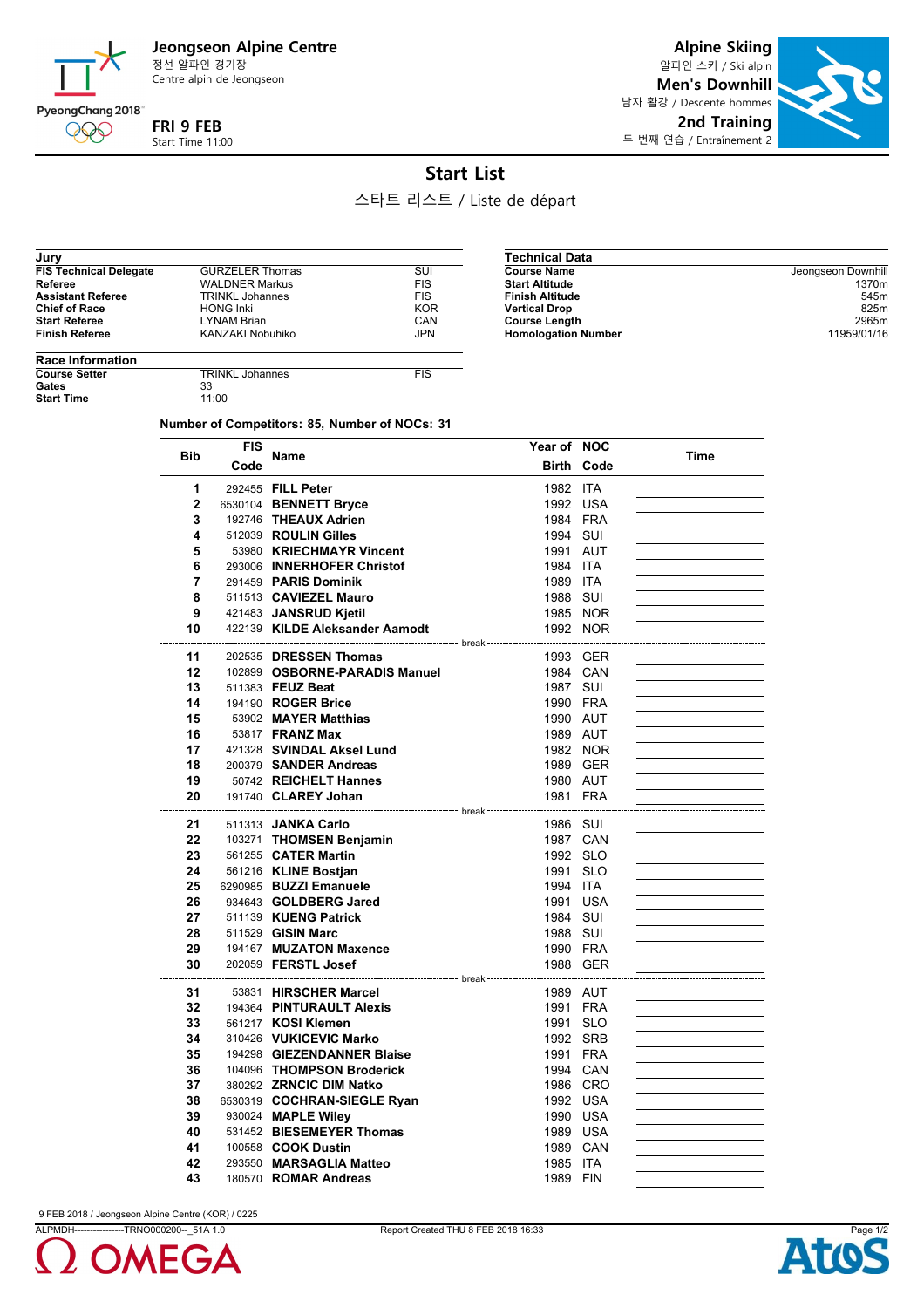**Jeongseon Alpine Centre**

정선 알파인 경기장 Centre alpin de Jeongseon

### PyeongChang 2018 **FRI 9 FEB**

Start Time 11:00

**Alpine Skiing** 알파인 스키 / Ski alpin **Men's Downhill** 남자 활강 / Descente hommes **2nd Training** 두 번째 연습 / Entraînement 2



## **Start List**

스타트 리스트 / Liste de départ

| Jury                          |                        |            |
|-------------------------------|------------------------|------------|
| <b>FIS Technical Delegate</b> | <b>GURZELER Thomas</b> | SUI        |
| Referee                       | <b>WALDNER Markus</b>  | <b>FIS</b> |
| <b>Assistant Referee</b>      | <b>TRINKL Johannes</b> | <b>FIS</b> |
| <b>Chief of Race</b>          | <b>HONG Inki</b>       | <b>KOR</b> |
| <b>Start Referee</b>          | <b>LYNAM Brian</b>     | CAN        |
| <b>Finish Referee</b>         | KANZAKI Nobuhiko       | <b>JPN</b> |

| <b>Technical Data</b>      |                    |
|----------------------------|--------------------|
| <b>Course Name</b>         | Jeongseon Downhill |
| <b>Start Altitude</b>      | 1370m              |
| <b>Finish Altitude</b>     | 545m               |
| <b>Vertical Drop</b>       | 825m               |
| <b>Course Length</b>       | 2965m              |
| <b>Homologation Number</b> | 11959/01/16        |

# **Race Information**

999

Gates **Start Time**  **COURSE TRINKL Johannes** FIS<br>
33<br>
11:00

#### **Number of Competitors: 85, Number of NOCs: 31**

| <b>Bib</b>   | <b>FIS</b> | <b>Name</b>                    | Year of NOC |                   | Time |
|--------------|------------|--------------------------------|-------------|-------------------|------|
|              | Code       |                                |             | <b>Birth Code</b> |      |
| 1            |            | 292455 FILL Peter              | 1982 ITA    |                   |      |
| $\mathbf{2}$ |            | 6530104 BENNETT Bryce          | 1992 USA    |                   |      |
| 3            |            | 192746 THEAUX Adrien           | 1984 FRA    |                   |      |
| 4            |            | 512039 ROULIN Gilles           | 1994 SUI    |                   |      |
| 5            |            | 53980 KRIECHMAYR Vincent       | 1991 AUT    |                   |      |
| 6            |            | 293006 INNERHOFER Christof     | 1984 ITA    |                   |      |
| 7            |            | 291459 PARIS Dominik           | 1989 ITA    |                   |      |
| 8            |            | 511513 CAVIEZEL Mauro          | 1988 SUI    |                   |      |
| 9            |            | 421483 JANSRUD Kjetil          | 1985 NOR    |                   |      |
| 10           |            | 422139 KILDE Aleksander Aamodt | 1992 NOR    |                   |      |
|              |            |                                |             |                   |      |
| 11           |            | 202535 DRESSEN Thomas          | 1993 GER    |                   |      |
| 12           |            | 102899 OSBORNE-PARADIS Manuel  | 1984 CAN    |                   |      |
| 13           |            | 511383 FEUZ Beat               | 1987 SUI    |                   |      |
| 14           |            | 194190 <b>ROGER Brice</b>      | 1990 FRA    |                   |      |
| 15           |            | 53902 MAYER Matthias           | 1990 AUT    |                   |      |
| 16           |            | 53817 <b>FRANZ Max</b>         | 1989 AUT    |                   |      |
| 17           |            | 421328 SVINDAL Aksel Lund      | 1982 NOR    |                   |      |
| 18           |            | 200379 SANDER Andreas          | 1989 GER    |                   |      |
| 19           |            | 50742 REICHELT Hannes          | 1980 AUT    |                   |      |
| 20           |            | 191740 CLAREY Johan            | 1981 FRA    |                   |      |
| 21           |            | 511313 <b>JANKA Carlo</b>      | 1986 SUI    |                   |      |
| 22           |            | 103271 THOMSEN Benjamin        | 1987 CAN    |                   |      |
| 23           |            | 561255 CATER Martin            | 1992 SLO    |                   |      |
| 24           |            | 561216 KLINE Bostjan           | 1991 SLO    |                   |      |
| 25           |            | 6290985 BUZZI Emanuele         | 1994 ITA    |                   |      |
| 26           |            | 934643 GOLDBERG Jared          | 1991 USA    |                   |      |
| 27           |            | 511139 KUENG Patrick           | 1984 SUI    |                   |      |
| 28           |            | 511529 GISIN Marc              | 1988 SUI    |                   |      |
| 29           |            | 194167 MUZATON Maxence         | 1990 FRA    |                   |      |
| 30           |            | 202059 <b>FERSTL Josef</b>     | 1988 GER    |                   |      |
| 31           |            | 53831 HIRSCHER Marcel          | 1989 AUT    |                   |      |
| 32           |            | 194364 PINTURAULT Alexis       | 1991 FRA    |                   |      |
| 33           |            | 561217 KOSI Klemen             | 1991 SLO    |                   |      |
| 34           |            | 310426 VUKICEVIC Marko         | 1992 SRB    |                   |      |
| 35           |            | 194298 GIEZENDANNER Blaise     | 1991 FRA    |                   |      |
| 36           |            | 104096 THOMPSON Broderick      | 1994 CAN    |                   |      |
| 37           |            | 380292 ZRNCIC DIM Natko        | 1986 CRO    |                   |      |
| 38           |            | 6530319 COCHRAN-SIEGLE Ryan    | 1992 USA    |                   |      |
| 39           |            | 930024 MAPLE Wiley             | 1990 USA    |                   |      |
| 40           |            | 531452 BIESEMEYER Thomas       | 1989 USA    |                   |      |
| 41           |            | 100558 <b>COOK Dustin</b>      | 1989 CAN    |                   |      |
| 42           |            | 293550 MARSAGLIA Matteo        | 1985 ITA    |                   |      |
| 43           |            | 180570 ROMAR Andreas           | 1989 FIN    |                   |      |
|              |            |                                |             |                   |      |

9 FEB 2018 / Jeongseon Alpine Centre (KOR) / 0225